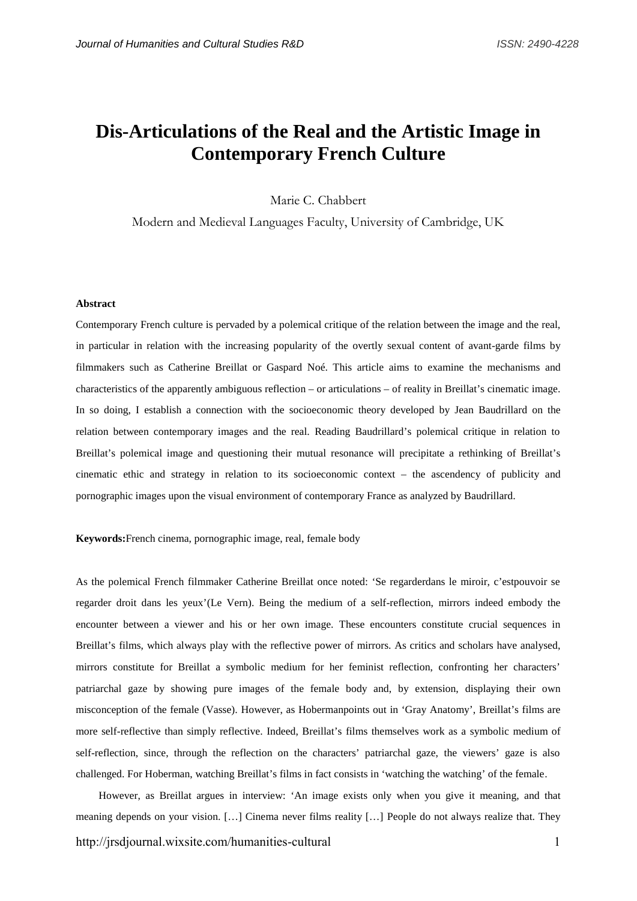# **Dis-Articulations of the Real and the Artistic Image in Contemporary French Culture**

Marie C. Chabbert

Modern and Medieval Languages Faculty, University of Cambridge, UK

#### **Abstract**

Contemporary French culture is pervaded by a polemical critique of the relation between the image and the real, in particular in relation with the increasing popularity of the overtly sexual content of avant-garde films by filmmakers such as Catherine Breillat or Gaspard Noé. This article aims to examine the mechanisms and characteristics of the apparently ambiguous reflection – or articulations – of reality in Breillat's cinematic image. In so doing, I establish a connection with the socioeconomic theory developed by Jean Baudrillard on the relation between contemporary images and the real. Reading Baudrillard's polemical critique in relation to Breillat's polemical image and questioning their mutual resonance will precipitate a rethinking of Breillat's cinematic ethic and strategy in relation to its socioeconomic context – the ascendency of publicity and pornographic images upon the visual environment of contemporary France as analyzed by Baudrillard.

**Keywords:**French cinema, pornographic image, real, female body

As the polemical French filmmaker Catherine Breillat once noted: 'Se regarderdans le miroir, c'estpouvoir se regarder droit dans les yeux'(Le Vern). Being the medium of a self-reflection, mirrors indeed embody the encounter between a viewer and his or her own image. These encounters constitute crucial sequences in Breillat's films, which always play with the reflective power of mirrors. As critics and scholars have analysed, mirrors constitute for Breillat a symbolic medium for her feminist reflection, confronting her characters' patriarchal gaze by showing pure images of the female body and, by extension, displaying their own misconception of the female (Vasse). However, as Hobermanpoints out in 'Gray Anatomy', Breillat's films are more self-reflective than simply reflective. Indeed, Breillat's films themselves work as a symbolic medium of self-reflection, since, through the reflection on the characters' patriarchal gaze, the viewers' gaze is also challenged. For Hoberman, watching Breillat's films in fact consists in 'watching the watching' of the female.

http://jrsdjournal.wixsite.com/humanities-cultural 1 However, as Breillat argues in interview: 'An image exists only when you give it meaning, and that meaning depends on your vision. […] Cinema never films reality […] People do not always realize that. They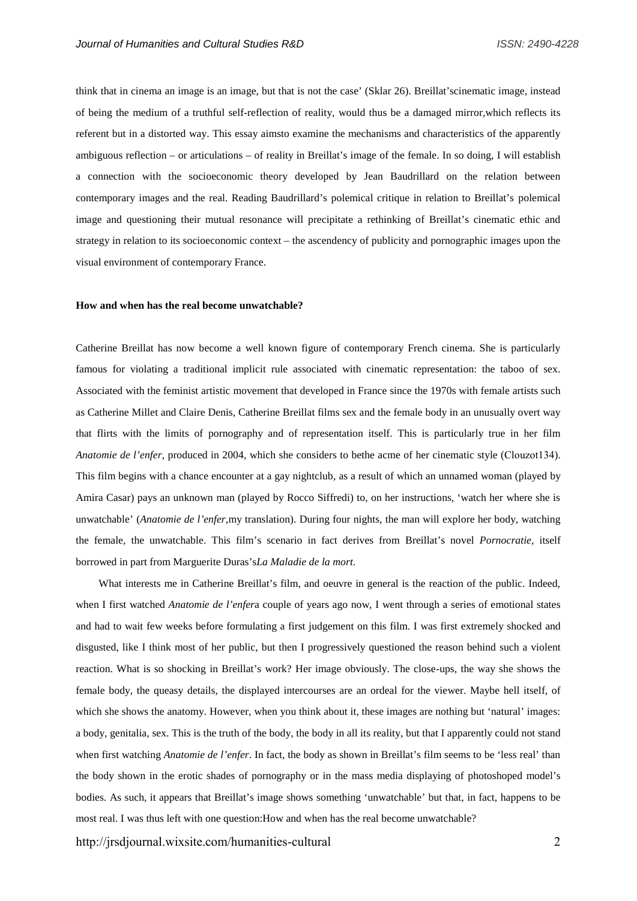think that in cinema an image is an image, but that is not the case' (Sklar 26). Breillat'scinematic image, instead of being the medium of a truthful self-reflection of reality, would thus be a damaged mirror,which reflects its referent but in a distorted way. This essay aimsto examine the mechanisms and characteristics of the apparently ambiguous reflection – or articulations – of reality in Breillat's image of the female. In so doing, I will establish a connection with the socioeconomic theory developed by Jean Baudrillard on the relation between contemporary images and the real. Reading Baudrillard's polemical critique in relation to Breillat's polemical image and questioning their mutual resonance will precipitate a rethinking of Breillat's cinematic ethic and strategy in relation to its socioeconomic context – the ascendency of publicity and pornographic images upon the visual environment of contemporary France.

#### **How and when has the real become unwatchable?**

Catherine Breillat has now become a well known figure of contemporary French cinema. She is particularly famous for violating a traditional implicit rule associated with cinematic representation: the taboo of sex. Associated with the feminist artistic movement that developed in France since the 1970s with female artists such as Catherine Millet and Claire Denis, Catherine Breillat films sex and the female body in an unusually overt way that flirts with the limits of pornography and of representation itself. This is particularly true in her film *Anatomie de l'enfer*, produced in 2004, which she considers to bethe acme of her cinematic style (Clouzot134). This film begins with a chance encounter at a gay nightclub, as a result of which an unnamed woman (played by Amira Casar) pays an unknown man (played by Rocco Siffredi) to, on her instructions, 'watch her where she is unwatchable' (*Anatomie de l'enfer*,my translation). During four nights, the man will explore her body, watching the female, the unwatchable. This film's scenario in fact derives from Breillat's novel *Pornocratie*, itself borrowed in part from Marguerite Duras's*La Maladie de la mort*.

What interests me in Catherine Breillat's film, and oeuvre in general is the reaction of the public. Indeed, when I first watched *Anatomie de l'enfer*a couple of years ago now, I went through a series of emotional states and had to wait few weeks before formulating a first judgement on this film. I was first extremely shocked and disgusted, like I think most of her public, but then I progressively questioned the reason behind such a violent reaction. What is so shocking in Breillat's work? Her image obviously. The close-ups, the way she shows the female body, the queasy details, the displayed intercourses are an ordeal for the viewer. Maybe hell itself, of which she shows the anatomy. However, when you think about it, these images are nothing but 'natural' images: a body, genitalia, sex. This is the truth of the body, the body in all its reality, but that I apparently could not stand when first watching *Anatomie de l'enfer*. In fact, the body as shown in Breillat's film seems to be 'less real' than the body shown in the erotic shades of pornography or in the mass media displaying of photoshoped model's bodies. As such, it appears that Breillat's image shows something 'unwatchable' but that, in fact, happens to be most real. I was thus left with one question:How and when has the real become unwatchable?

http://jrsdjournal.wixsite.com/humanities-cultural 2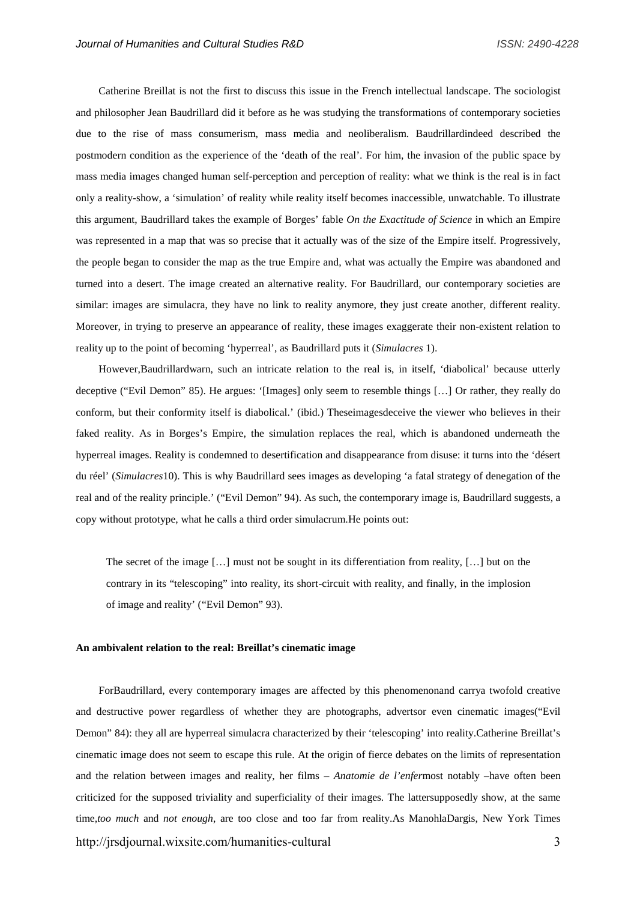Catherine Breillat is not the first to discuss this issue in the French intellectual landscape. The sociologist and philosopher Jean Baudrillard did it before as he was studying the transformations of contemporary societies due to the rise of mass consumerism, mass media and neoliberalism. Baudrillardindeed described the postmodern condition as the experience of the 'death of the real'. For him, the invasion of the public space by mass media images changed human self-perception and perception of reality: what we think is the real is in fact only a reality-show, a 'simulation' of reality while reality itself becomes inaccessible, unwatchable. To illustrate this argument, Baudrillard takes the example of Borges' fable *On the Exactitude of Science* in which an Empire was represented in a map that was so precise that it actually was of the size of the Empire itself. Progressively, the people began to consider the map as the true Empire and, what was actually the Empire was abandoned and turned into a desert. The image created an alternative reality. For Baudrillard, our contemporary societies are similar: images are simulacra, they have no link to reality anymore, they just create another, different reality. Moreover, in trying to preserve an appearance of reality, these images exaggerate their non-existent relation to reality up to the point of becoming 'hyperreal', as Baudrillard puts it (*Simulacres* 1).

However,Baudrillardwarn, such an intricate relation to the real is, in itself, 'diabolical' because utterly deceptive ("Evil Demon" 85). He argues: '[Images] only seem to resemble things […] Or rather, they really do conform, but their conformity itself is diabolical.' (ibid.) Theseimagesdeceive the viewer who believes in their faked reality. As in Borges's Empire, the simulation replaces the real, which is abandoned underneath the hyperreal images. Reality is condemned to desertification and disappearance from disuse: it turns into the 'désert du réel' (*Simulacres*10). This is why Baudrillard sees images as developing 'a fatal strategy of denegation of the real and of the reality principle.' ("Evil Demon" 94). As such, the contemporary image is, Baudrillard suggests, a copy without prototype, what he calls a third order simulacrum.He points out:

The secret of the image […] must not be sought in its differentiation from reality, […] but on the contrary in its "telescoping" into reality, its short-circuit with reality, and finally, in the implosion of image and reality' ("Evil Demon" 93).

#### **An ambivalent relation to the real: Breillat's cinematic image**

http://jrsdjournal.wixsite.com/humanities-cultural 3 ForBaudrillard, every contemporary images are affected by this phenomenonand carrya twofold creative and destructive power regardless of whether they are photographs, advertsor even cinematic images("Evil Demon" 84): they all are hyperreal simulacra characterized by their 'telescoping' into reality.Catherine Breillat's cinematic image does not seem to escape this rule. At the origin of fierce debates on the limits of representation and the relation between images and reality, her films – *Anatomie de l'enfer*most notably –have often been criticized for the supposed triviality and superficiality of their images. The lattersupposedly show, at the same time,*too much* and *not enough*, are too close and too far from reality.As ManohlaDargis, New York Times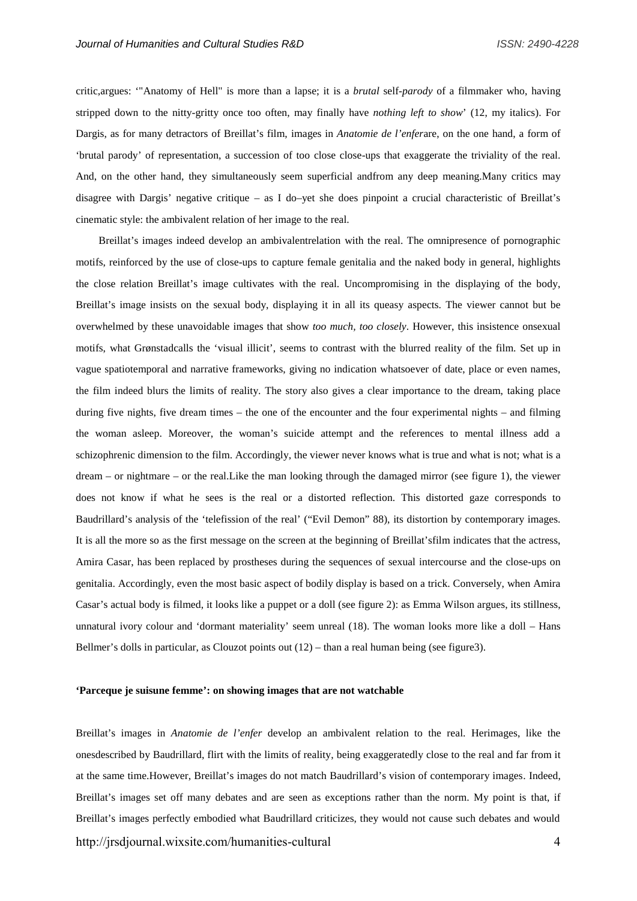critic,argues: '"Anatomy of Hell" is more than a lapse; it is a *brutal* self*-parody* of a filmmaker who, having stripped down to the nitty-gritty once too often, may finally have *nothing left to show*' (12, my italics). For Dargis, as for many detractors of Breillat's film, images in *Anatomie de l'enfer*are, on the one hand, a form of 'brutal parody' of representation, a succession of too close close-ups that exaggerate the triviality of the real. And, on the other hand, they simultaneously seem superficial andfrom any deep meaning.Many critics may disagree with Dargis' negative critique – as I do–yet she does pinpoint a crucial characteristic of Breillat's cinematic style: the ambivalent relation of her image to the real.

Breillat's images indeed develop an ambivalentrelation with the real. The omnipresence of pornographic motifs, reinforced by the use of close-ups to capture female genitalia and the naked body in general, highlights the close relation Breillat's image cultivates with the real. Uncompromising in the displaying of the body, Breillat's image insists on the sexual body, displaying it in all its queasy aspects. The viewer cannot but be overwhelmed by these unavoidable images that show *too much, too closely*. However, this insistence onsexual motifs, what Grønstadcalls the 'visual illicit', seems to contrast with the blurred reality of the film. Set up in vague spatiotemporal and narrative frameworks, giving no indication whatsoever of date, place or even names, the film indeed blurs the limits of reality. The story also gives a clear importance to the dream, taking place during five nights, five dream times – the one of the encounter and the four experimental nights – and filming the woman asleep. Moreover, the woman's suicide attempt and the references to mental illness add a schizophrenic dimension to the film. Accordingly, the viewer never knows what is true and what is not; what is a dream – or nightmare – or the real.Like the man looking through the damaged mirror (see figure 1), the viewer does not know if what he sees is the real or a distorted reflection. This distorted gaze corresponds to Baudrillard's analysis of the 'telefission of the real' ("Evil Demon" 88), its distortion by contemporary images. It is all the more so as the first message on the screen at the beginning of Breillat'sfilm indicates that the actress, Amira Casar, has been replaced by prostheses during the sequences of sexual intercourse and the close-ups on genitalia. Accordingly, even the most basic aspect of bodily display is based on a trick. Conversely, when Amira Casar's actual body is filmed, it looks like a puppet or a doll (see figure 2): as Emma Wilson argues, its stillness, unnatural ivory colour and 'dormant materiality' seem unreal (18). The woman looks more like a doll – Hans Bellmer's dolls in particular, as Clouzot points out (12) – than a real human being (see figure3).

#### **'Parceque je suisune femme': on showing images that are not watchable**

http://jrsdjournal.wixsite.com/humanities-cultural 4 Breillat's images in *Anatomie de l'enfer* develop an ambivalent relation to the real. Herimages, like the onesdescribed by Baudrillard, flirt with the limits of reality, being exaggeratedly close to the real and far from it at the same time.However, Breillat's images do not match Baudrillard's vision of contemporary images. Indeed, Breillat's images set off many debates and are seen as exceptions rather than the norm. My point is that, if Breillat's images perfectly embodied what Baudrillard criticizes, they would not cause such debates and would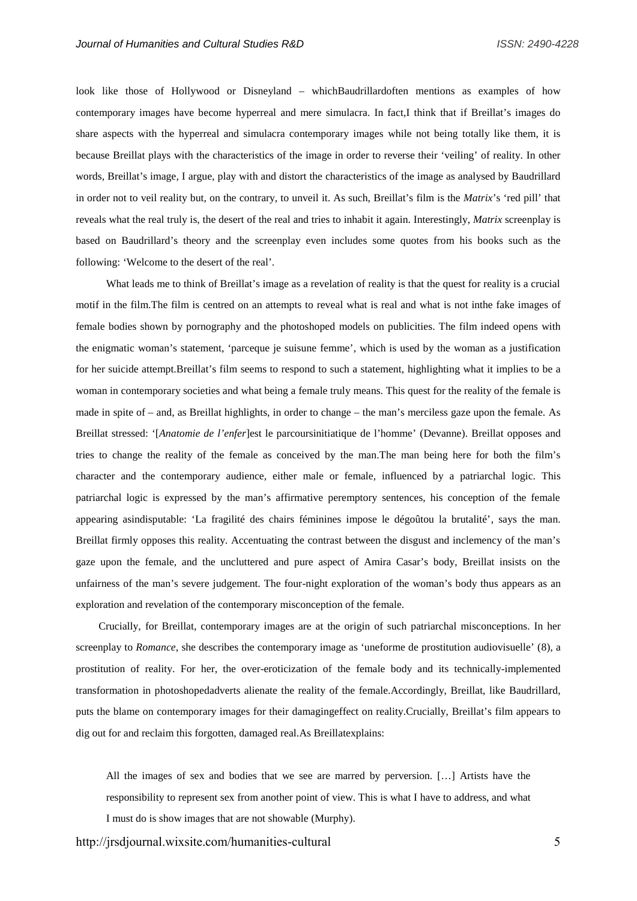look like those of Hollywood or Disneyland – whichBaudrillardoften mentions as examples of how contemporary images have become hyperreal and mere simulacra. In fact,I think that if Breillat's images do share aspects with the hyperreal and simulacra contemporary images while not being totally like them, it is because Breillat plays with the characteristics of the image in order to reverse their 'veiling' of reality. In other words, Breillat's image, I argue, play with and distort the characteristics of the image as analysed by Baudrillard in order not to veil reality but, on the contrary, to unveil it. As such, Breillat's film is the*Matrix*'s 'red pill' that reveals what the real truly is, the desert of the real and tries to inhabit it again. Interestingly, *Matrix* screenplay is based on Baudrillard's theory and the screenplay even includes some quotes from his books such as the following: 'Welcome to the desert of the real'.

What leads me to think of Breillat's image as a revelation of reality is that the quest for reality is a crucial motif in the film.The film is centred on an attempts to reveal what is real and what is not inthe fake images of female bodies shown by pornography and the photoshoped models on publicities. The film indeed opens with the enigmatic woman's statement, 'parceque je suisune femme', which is used by the woman as a justification for her suicide attempt.Breillat's film seems to respond to such a statement, highlighting what it implies to be a woman in contemporary societies and what being a female truly means. This quest for the reality of the female is made in spite of – and, as Breillat highlights, in order to change – the man's merciless gaze upon the female. As Breillat stressed: '[*Anatomie de l'enfer*]est le parcoursinitiatique de l'homme' (Devanne). Breillat opposes and tries to change the reality of the female as conceived by the man.The man being here for both the film's character and the contemporary audience, either male or female, influenced by a patriarchal logic. This patriarchal logic is expressed by the man's affirmative peremptory sentences, his conception of the female appearing asindisputable: 'La fragilité des chairs féminines impose le dégoûtou la brutalité', says the man. Breillat firmly opposes this reality. Accentuating the contrast between the disgust and inclemency of the man's gaze upon the female, and the uncluttered and pure aspect of Amira Casar's body, Breillat insists on the unfairness of the man's severe judgement. The four-night exploration of the woman's body thus appears as an exploration and revelation of the contemporary misconception of the female.

Crucially, for Breillat, contemporary images are at the origin of such patriarchal misconceptions. In her screenplay to *Romance*, she describes the contemporary image as 'uneforme de prostitution audiovisuelle' (8), a prostitution of reality. For her, the over-eroticization of the female body and its technically-implemented transformation in photoshopedadverts alienate the reality of the female.Accordingly, Breillat, like Baudrillard, puts the blame on contemporary images for their damagingeffect on reality.Crucially, Breillat's film appears to dig out for and reclaim this forgotten, damaged real.As Breillatexplains:

All the images of sex and bodies that we see are marred by perversion. […] Artists have the responsibility to represent sex from another point of view. This is what I have to address, and what I must do is show images that are not showable (Murphy).

http://jrsdjournal.wixsite.com/humanities-cultural 5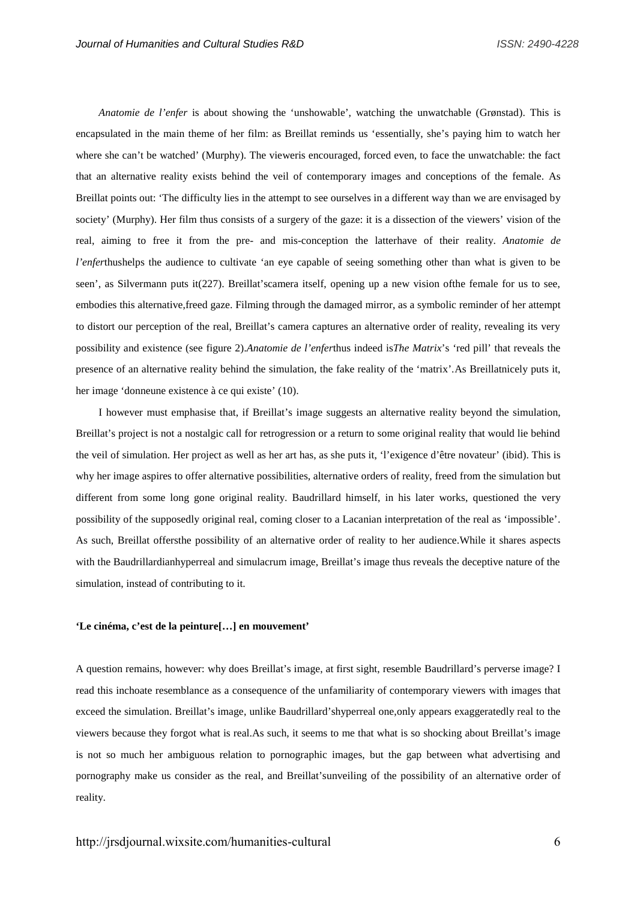*Anatomie de l'enfer* is about showing the 'unshowable', watching the unwatchable (Grønstad). This is encapsulated in the main theme of her film: as Breillat reminds us 'essentially, she's paying him to watch her where she can't be watched' (Murphy). The vieweris encouraged, forced even, to face the unwatchable: the fact that an alternative reality exists behind the veil of contemporary images and conceptions of the female. As Breillat points out: 'The difficulty lies in the attempt to see ourselves in a different way than we are envisaged by society' (Murphy). Her film thus consists of a surgery of the gaze: it is a dissection of the viewers' vision of the real, aiming to free it from the pre- and mis-conception the latterhave of their reality. *Anatomie de l'enferthushelps the audience to cultivate 'an eye capable of seeing something other than what is given to be* seen', as Silvermann puts it(227). Breillat'scamera itself, opening up a new vision ofthe female for us to see, embodies this alternative,freed gaze. Filming through the damaged mirror, as a symbolic reminder of her attempt to distort our perception of the real, Breillat's camera captures an alternative order of reality, revealing its very possibility and existence (see figure 2).*Anatomie de l'enfer*thus indeed is*The Matrix*'s 'red pill' that reveals the presence of an alternative reality behind the simulation, the fake reality of the 'matrix'.As Breillatnicely puts it, her image 'donneune existence à ce qui existe' (10).

I however must emphasise that, if Breillat's image suggests an alternative reality beyond the simulation, Breillat's project is not a nostalgic call for retrogression or a return to some original reality that would lie behind the veil of simulation. Her project as well as her art has, as she puts it, 'l'exigence d'être novateur' (ibid). This is why her image aspires to offer alternative possibilities, alternative orders of reality, freed from the simulation but different from some long gone original reality. Baudrillard himself, in his later works, questioned the very possibility of the supposedly original real, coming closer to a Lacanian interpretation of the real as 'impossible'. As such, Breillat offersthe possibility of an alternative order of reality to her audience.While it shares aspects with the Baudrillardianhyperreal and simulacrum image, Breillat's image thus reveals the deceptive nature of the simulation, instead of contributing to it.

#### **'Le cinéma, c'est de la peinture[…] en mouvement'**

A question remains, however: why does Breillat's image, at first sight, resemble Baudrillard's perverse image? I read this inchoate resemblance as a consequence of the unfamiliarity of contemporary viewers with images that exceed the simulation. Breillat's image, unlike Baudrillard'shyperreal one,only appears exaggeratedly real to the viewers because they forgot what is real.As such, it seems to me that what is so shocking about Breillat's image is not so much her ambiguous relation to pornographic images, but the gap between what advertising and pornography make us consider as the real, and Breillat'sunveiling of the possibility of an alternative order of reality.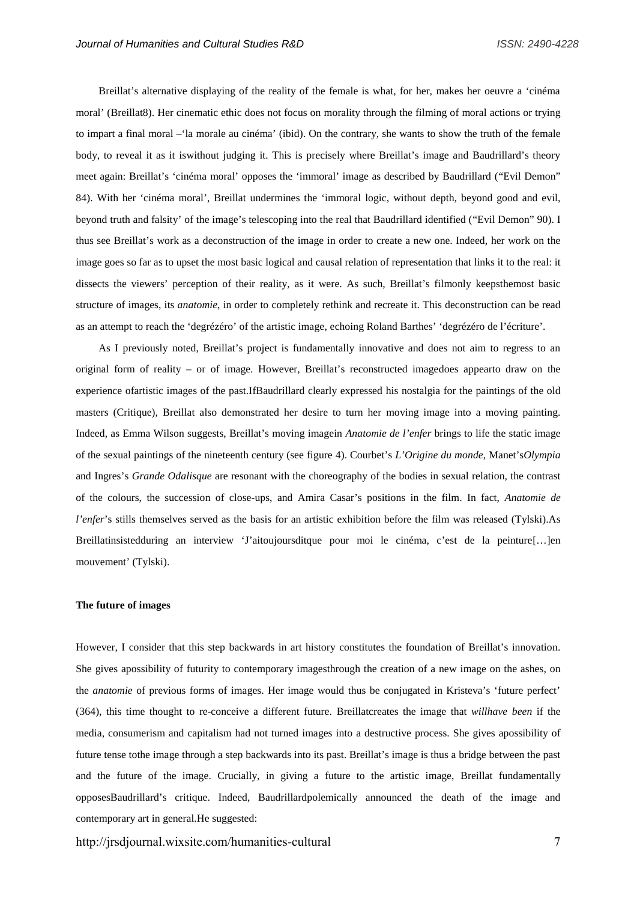Breillat's alternative displaying of the reality of the female is what, for her, makes her oeuvre a 'cinéma moral' (Breillat8). Her cinematic ethic does not focus on morality through the filming of moral actions or trying to impart a final moral –'la morale au cinéma' (ibid). On the contrary, she wants to show the truth of the female body, to reveal it as it iswithout judging it. This is precisely where Breillat's image and Baudrillard's theory meet again: Breillat's 'cinéma moral' opposes the 'immoral' image as described by Baudrillard ("Evil Demon" 84). With her 'cinéma moral', Breillat undermines the 'immoral logic, without depth, beyond good and evil, beyond truth and falsity' of the image's telescoping into the real that Baudrillard identified ("Evil Demon" 90). I thus see Breillat's work as a deconstruction of the image in order to create a new one. Indeed, her work on the image goes so far as to upset the most basic logical and causal relation of representation that links it to the real: it dissects the viewers' perception of their reality, as it were. As such, Breillat's filmonly keepsthemost basic structure of images, its *anatomie*, in order to completely rethink and recreate it. This deconstruction can be read as an attempt to reach the 'degrézéro' of the artistic image, echoing Roland Barthes' 'degrézéro de l'écriture'.

As I previously noted, Breillat's project is fundamentally innovative and does not aim to regress to an original form of reality – or of image. However, Breillat's reconstructed imagedoes appearto draw on the experience ofartistic images of the past.IfBaudrillard clearly expressed his nostalgia for the paintings of the old masters (Critique), Breillat also demonstrated her desire to turn her moving image into a moving painting. Indeed, as Emma Wilson suggests, Breillat's moving imagein *Anatomie de l'enfer* brings to life the static image of the sexual paintings of the nineteenth century (see figure 4). Courbet's *L'Origine du monde*, Manet's*Olympia* and Ingres's *Grande Odalisque* are resonant with the choreography of the bodies in sexual relation, the contrast of the colours, the succession of close-ups, and Amira Casar's positions in the film. In fact, *Anatomie de l'enfer*'s stills themselves served as the basis for an artistic exhibition before the film was released (Tylski).As Breillatinsistedduring an interview 'J'aitoujoursditque pour moi le cinéma, c'est de la peinture[…]en mouvement' (Tylski).

#### **The future of images**

However, I consider that this step backwards in art history constitutes the foundation of Breillat's innovation. She gives apossibility of futurity to contemporary imagesthrough the creation of a new image on the ashes, on the *anatomie* of previous forms of images. Her image would thus be conjugated in Kristeva's 'future perfect' (364), this time thought to re-conceive a different future. Breillatcreates the image that *willhave been* if the media, consumerism and capitalism had not turned images into a destructive process. She gives apossibility of future tense tothe image through a step backwards into its past. Breillat's image is thus a bridge between the past and the future of the image. Crucially, in giving a future to the artistic image, Breillat fundamentally opposesBaudrillard's critique. Indeed, Baudrillardpolemically announced the death of the image and contemporary art in general.He suggested:

http://jrsdjournal.wixsite.com/humanities-cultural 7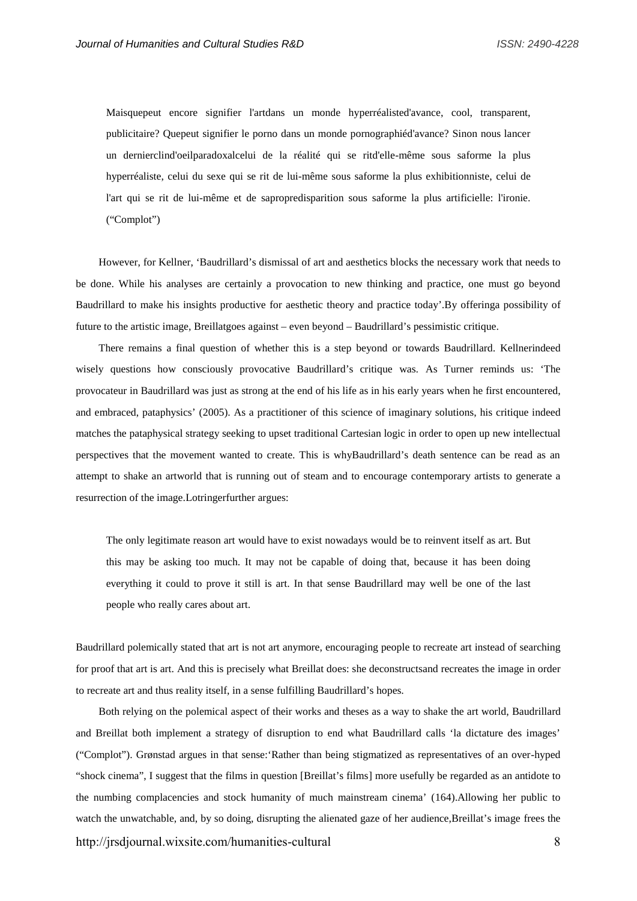Maisquepeut encore signifier l'artdans un monde hyperréalisted'avance, cool, transparent, publicitaire? Quepeut signifier le porno dans un monde pornographiéd'avance? Sinon nous lancer un dernierclind'oeilparadoxalcelui de la réalité qui se ritd'elle-même sous saforme la plus hyperréaliste, celui du sexe qui se rit de lui-même sous saforme la plus exhibitionniste, celui de l'art qui se rit de lui-même et de sapropredisparition sous saforme la plus artificielle: l'ironie. ("Complot")

However, for Kellner, 'Baudrillard's dismissal of art and aesthetics blocks the necessary work that needs to be done. While his analyses are certainly a provocation to new thinking and practice, one must go beyond Baudrillard to make his insights productive for aesthetic theory and practice today'.By offeringa possibility of future to the artistic image, Breillatgoes against – even beyond – Baudrillard's pessimistic critique.

There remains a final question of whether this is a step beyond or towards Baudrillard. Kellnerindeed wisely questions how consciously provocative Baudrillard's critique was. As Turner reminds us: 'The provocateur in Baudrillard was just as strong at the end of his life as in his early years when he first encountered, and embraced, pataphysics' (2005). As a practitioner of this science of imaginary solutions, his critique indeed matches the pataphysical strategy seeking to upset traditional Cartesian logic in order to open up new intellectual perspectives that the movement wanted to create. This is whyBaudrillard's death sentence can be read as an attempt to shake an artworld that is running out of steam and to encourage contemporary artists to generate a resurrection of the image.Lotringerfurther argues:

The only legitimate reason art would have to exist nowadays would be to reinvent itself as art. But this may be asking too much. It may not be capable of doing that, because it has been doing everything it could to prove it still is art. In that sense Baudrillard may well be one of the last people who really cares about art.

Baudrillard polemically stated that art is not art anymore, encouraging people to recreate art instead of searching for proof that art is art. And this is precisely what Breillat does: she deconstructsand recreates the image in order to recreate art and thus reality itself, in a sense fulfilling Baudrillard's hopes.

http://jrsdjournal.wixsite.com/humanities-cultural 8 Both relying on the polemical aspect of their works and theses as a way to shake the art world, Baudrillard and Breillat both implement a strategy of disruption to end what Baudrillard calls 'la dictature des images' ("Complot"). Grønstad argues in that sense:'Rather than being stigmatized as representatives of an over-hyped "shock cinema", I suggest that the films in question [Breillat's films] more usefully be regarded as an antidote to the numbing complacencies and stock humanity of much mainstream cinema' (164).Allowing her public to watch the unwatchable, and, by so doing, disrupting the alienated gaze of her audience,Breillat's image frees the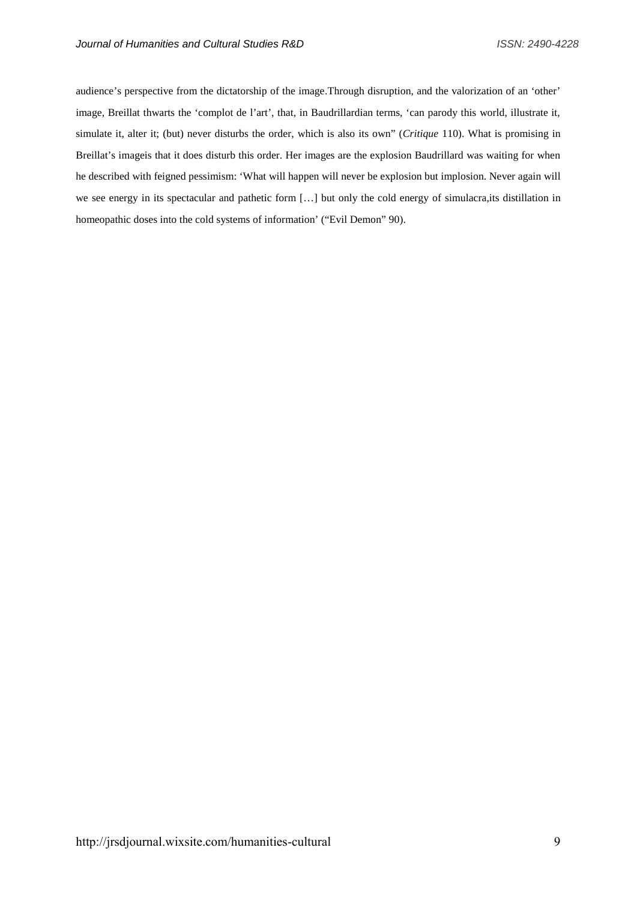audience's perspective from the dictatorship of the image.Through disruption, and the valorization of an 'other' image, Breillat thwarts the 'complot de l'art', that, in Baudrillardian terms, 'can parody this world, illustrate it, simulate it, alter it; (but) never disturbs the order, which is also its own" (*Critique* 110). What is promising in Breillat's imageis that it does disturb this order. Her images are the explosion Baudrillard was waiting for when he described with feigned pessimism: 'What will happen will never be explosion but implosion. Never again will we see energy in its spectacular and pathetic form […] but only the cold energy of simulacra,its distillation in homeopathic doses into the cold systems of information' ("Evil Demon" 90).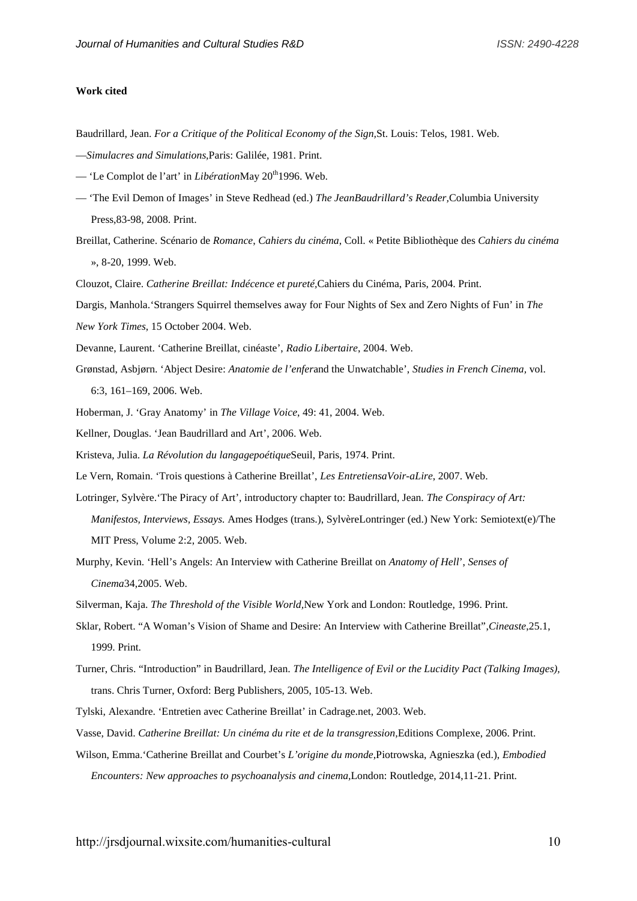### **Work cited**

- Baudrillard, Jean. *For a Critique of the Political Economy of the Sign,*St. Louis: Telos, 1981. Web.
- —*Simulacres and Simulations,*Paris: Galilée, 1981. Print.
- 'Le Complot de l'art' in *Libération*May 20<sup>th</sup>1996. Web.
- 'The Evil Demon of Images' in Steve Redhead (ed.) *The JeanBaudrillard's Reader,*Columbia University Press,83-98, 2008. Print.
- Breillat, Catherine. Scénario de *Romance*, *Cahiers du cinéma*, Coll. « Petite Bibliothèque des *Cahiers du cinéma* », 8-20, 1999. Web.
- Clouzot, Claire. *Catherine Breillat: Indécence et pureté,*Cahiers du Cinéma, Paris, 2004. Print.
- Dargis, Manhola.'Strangers Squirrel themselves away for Four Nights of Sex and Zero Nights of Fun' in *The*
- *New York Times*, 15 October 2004. Web.
- Devanne, Laurent. 'Catherine Breillat, cinéaste', *Radio Libertaire*, 2004. Web.
- Grønstad, Asbjørn. 'Abject Desire: *Anatomie de l'enfer*and the Unwatchable', *Studies in French Cinema,* vol. 6:3, 161–169, 2006. Web.
- Hoberman, J. 'Gray Anatomy' in *The Village Voice*, 49: 41, 2004. Web.
- Kellner, Douglas. 'Jean Baudrillard and Art', 2006. Web.
- Kristeva, Julia. *La Révolution du langagepoétique*Seuil, Paris, 1974. Print.
- Le Vern, Romain. 'Trois questions à Catherine Breillat', *Les EntretiensaVoir-aLire*, 2007. Web.
- Lotringer, Sylvère.'The Piracy of Art', introductory chapter to: Baudrillard, Jean. *The Conspiracy of Art: Manifestos, Interviews, Essays.* Ames Hodges (trans.), SylvèreLontringer (ed.) New York: Semiotext(e)/The MIT Press, Volume 2:2, 2005. Web.
- Murphy, Kevin. 'Hell's Angels: An Interview with Catherine Breillat on *Anatomy of Hell*', *Senses of Cinema*34,2005. Web.
- Silverman, Kaja. *The Threshold of the Visible World,*New York and London: Routledge, 1996. Print.
- Sklar, Robert. "A Woman's Vision of Shame and Desire: An Interview with Catherine Breillat",*Cineaste*,25.1, 1999. Print.
- Turner, Chris. "Introduction" in Baudrillard, Jean. *The Intelligence of Evil or the Lucidity Pact (Talking Images),* trans. Chris Turner, Oxford: Berg Publishers, 2005, 105-13. Web.
- Tylski, Alexandre. 'Entretien avec Catherine Breillat' in Cadrage.net, 2003. Web.
- Vasse, David. *Catherine Breillat: Un cinéma du rite et de la transgression,*Editions Complexe, 2006. Print.
- Wilson, Emma.'Catherine Breillat and Courbet's *L'origine du monde*,Piotrowska, Agnieszka (ed.), *Embodied Encounters: New approaches to psychoanalysis and cinema,*London: Routledge, 2014,11-21. Print.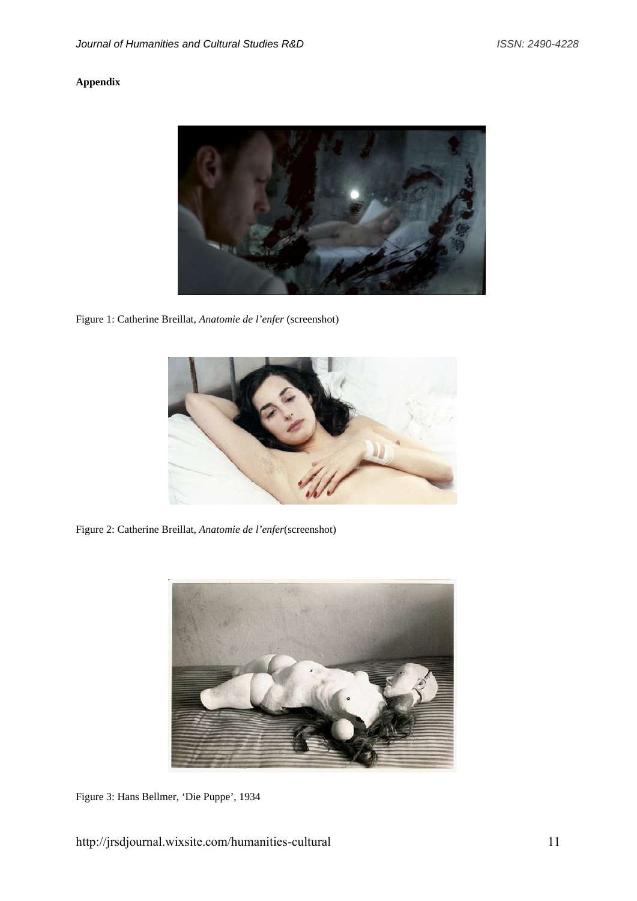## **Appendix**



Figure 1: Catherine Breillat, *Anatomie de l'enfer* (screenshot)



Figure 2: Catherine Breillat, *Anatomie de l'enfer*(screenshot)



Figure 3: Hans Bellmer, 'Die Puppe', 1934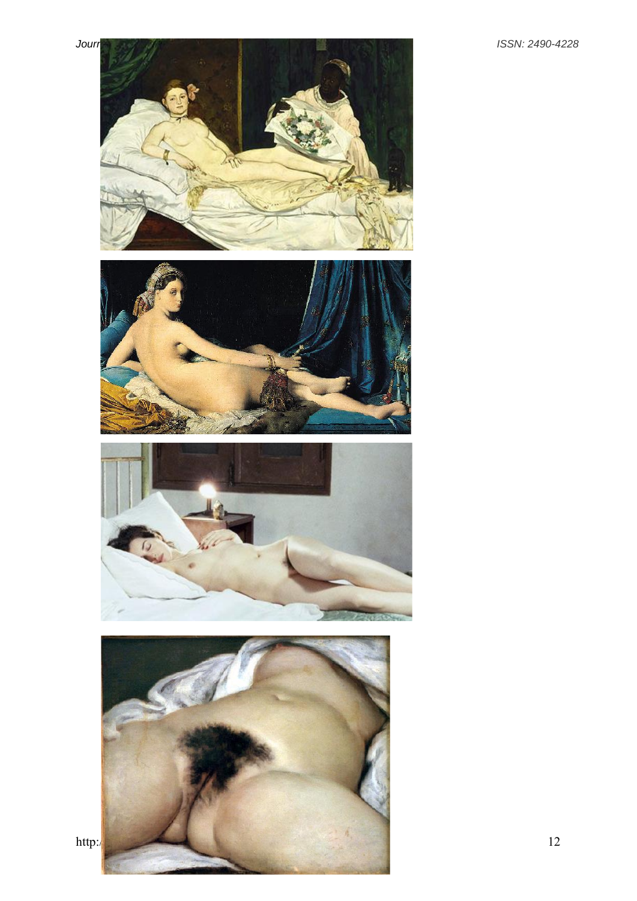